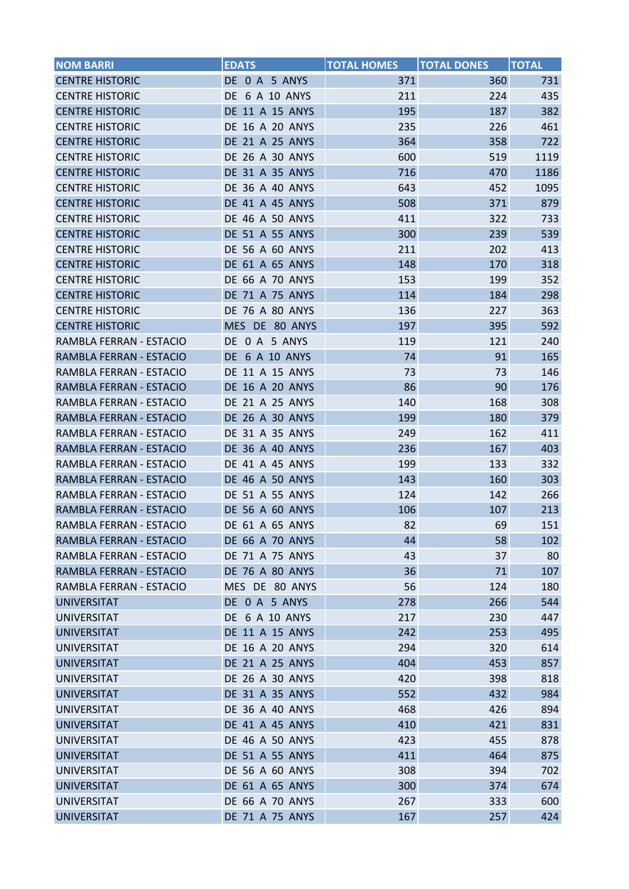| <b>NOM BARRI</b>        | <b>EDATS</b>           | <b>TOTAL HOMES</b> | <b>TOTAL DONES</b> | <b>TOTAL</b> |
|-------------------------|------------------------|--------------------|--------------------|--------------|
| <b>CENTRE HISTORIC</b>  | DE 0 A 5 ANYS          | 371                | 360                | 731          |
| <b>CENTRE HISTORIC</b>  | <b>DE 6 A 10 ANYS</b>  | 211                | 224                | 435          |
| <b>CENTRE HISTORIC</b>  | DE 11 A 15 ANYS        | 195                | 187                | 382          |
| <b>CENTRE HISTORIC</b>  | DE 16 A 20 ANYS        | 235                | 226                | 461          |
| <b>CENTRE HISTORIC</b>  | DE 21 A 25 ANYS        | 364                | 358                | 722          |
| <b>CENTRE HISTORIC</b>  | DE 26 A 30 ANYS        | 600                | 519                | 1119         |
| <b>CENTRE HISTORIC</b>  | DE 31 A 35 ANYS        | 716                | 470                | 1186         |
| <b>CENTRE HISTORIC</b>  | <b>DE 36 A 40 ANYS</b> | 643                | 452                | 1095         |
| <b>CENTRE HISTORIC</b>  | <b>DE 41 A 45 ANYS</b> | 508                | 371                | 879          |
| <b>CENTRE HISTORIC</b>  | DE 46 A 50 ANYS        | 411                | 322                | 733          |
| <b>CENTRE HISTORIC</b>  | DE 51 A 55 ANYS        | 300                | 239                | 539          |
| <b>CENTRE HISTORIC</b>  | DE 56 A 60 ANYS        | 211                | 202                | 413          |
| <b>CENTRE HISTORIC</b>  | DE 61 A 65 ANYS        | 148                | 170                | 318          |
| <b>CENTRE HISTORIC</b>  | <b>DE 66 A 70 ANYS</b> | 153                | 199                | 352          |
| <b>CENTRE HISTORIC</b>  | DE 71 A 75 ANYS        | 114                | 184                | 298          |
| <b>CENTRE HISTORIC</b>  | <b>DE 76 A 80 ANYS</b> | 136                | 227                | 363          |
| <b>CENTRE HISTORIC</b>  | MES DE 80 ANYS         | 197                | 395                | 592          |
| RAMBLA FERRAN - ESTACIO | DE 0 A 5 ANYS          | 119                | 121                | 240          |
| RAMBLA FERRAN - ESTACIO | <b>DE 6 A 10 ANYS</b>  | 74                 | 91                 | 165          |
| RAMBLA FERRAN - ESTACIO | DE 11 A 15 ANYS        | 73                 | 73                 | 146          |
| RAMBLA FERRAN - ESTACIO | DE 16 A 20 ANYS        | 86                 | 90                 | 176          |
| RAMBLA FERRAN - ESTACIO | DE 21 A 25 ANYS        | 140                | 168                | 308          |
| RAMBLA FERRAN - ESTACIO | <b>DE 26 A 30 ANYS</b> | 199                | 180                | 379          |
| RAMBLA FERRAN - ESTACIO | DE 31 A 35 ANYS        | 249                | 162                | 411          |
| RAMBLA FERRAN - ESTACIO | <b>DE 36 A 40 ANYS</b> | 236                | 167                | 403          |
| RAMBLA FERRAN - ESTACIO | DE 41 A 45 ANYS        | 199                | 133                | 332          |
| RAMBLA FERRAN - ESTACIO | DE 46 A 50 ANYS        | 143                | 160                | 303          |
| RAMBLA FERRAN - ESTACIO | DE 51 A 55 ANYS        | 124                | 142                | 266          |
| RAMBLA FERRAN - ESTACIO | <b>DE 56 A 60 ANYS</b> | 106                | 107                | 213          |
| RAMBLA FERRAN - ESTACIO | DE 61 A 65 ANYS        | 82                 | 69                 | 151          |
| RAMBLA FERRAN - ESTACIO | <b>DE 66 A 70 ANYS</b> | 44                 | 58                 | 102          |
| RAMBLA FERRAN - ESTACIO | DE 71 A 75 ANYS        | 43                 | 37                 | 80           |
| RAMBLA FERRAN - ESTACIO | <b>DE 76 A 80 ANYS</b> | 36                 | 71                 | 107          |
| RAMBLA FERRAN - ESTACIO | MES DE 80 ANYS         | 56                 | 124                | 180          |
| <b>UNIVERSITAT</b>      | DE 0 A 5 ANYS          | 278                | 266                | 544          |
| <b>UNIVERSITAT</b>      | DE 6 A 10 ANYS         | 217                | 230                | 447          |
| <b>UNIVERSITAT</b>      | DE 11 A 15 ANYS        | 242                | 253                | 495          |
| <b>UNIVERSITAT</b>      | <b>DE 16 A 20 ANYS</b> | 294                | 320                | 614          |
| <b>UNIVERSITAT</b>      | <b>DE 21 A 25 ANYS</b> | 404                | 453                | 857          |
| <b>UNIVERSITAT</b>      | DE 26 A 30 ANYS        | 420                | 398                | 818          |
| <b>UNIVERSITAT</b>      | DE 31 A 35 ANYS        | 552                | 432                | 984          |
| <b>UNIVERSITAT</b>      | DE 36 A 40 ANYS        | 468                | 426                | 894          |
| <b>UNIVERSITAT</b>      | <b>DE 41 A 45 ANYS</b> | 410                | 421                | 831          |
| UNIVERSITAT             | DE 46 A 50 ANYS        | 423                | 455                | 878          |
| <b>UNIVERSITAT</b>      | DE 51 A 55 ANYS        | 411                | 464                | 875          |
| <b>UNIVERSITAT</b>      | DE 56 A 60 ANYS        | 308                | 394                | 702          |
| <b>UNIVERSITAT</b>      | DE 61 A 65 ANYS        | 300                | 374                | 674          |
| <b>UNIVERSITAT</b>      | DE 66 A 70 ANYS        | 267                | 333                | 600          |
| <b>UNIVERSITAT</b>      | DE 71 A 75 ANYS        | 167                | 257                | 424          |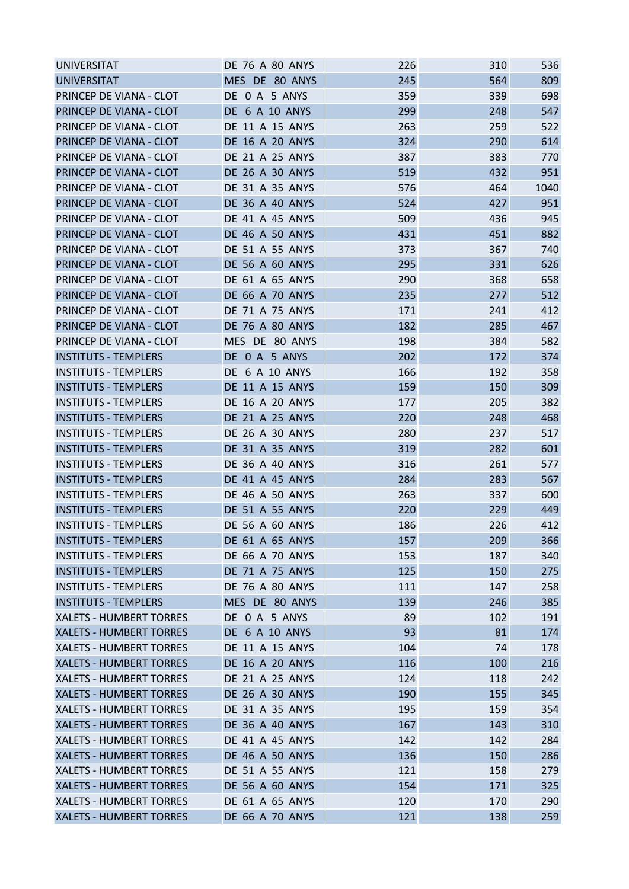| MES DE 80 ANYS<br>245<br>564<br>809<br>DE 0 A 5 ANYS<br>359<br>698<br>PRINCEP DE VIANA - CLOT<br>339<br>299<br>547<br>PRINCEP DE VIANA - CLOT<br><b>DE 6 A 10 ANYS</b><br>248<br>DE 11 A 15 ANYS<br>263<br>259<br>522<br>PRINCEP DE VIANA - CLOT<br>290<br><b>DE 16 A 20 ANYS</b><br>324<br>614<br>PRINCEP DE VIANA - CLOT<br>387<br>PRINCEP DE VIANA - CLOT<br>DE 21 A 25 ANYS<br>383<br>770<br>PRINCEP DE VIANA - CLOT<br><b>DE 26 A 30 ANYS</b><br>519<br>432<br>951<br>PRINCEP DE VIANA - CLOT<br>DE 31 A 35 ANYS<br>576<br>464<br>1040<br>427<br>PRINCEP DE VIANA - CLOT<br><b>DE 36 A 40 ANYS</b><br>524<br>951<br>PRINCEP DE VIANA - CLOT<br>DE 41 A 45 ANYS<br>509<br>436<br>945<br>451<br>DE 46 A 50 ANYS<br>431<br>882<br>PRINCEP DE VIANA - CLOT<br>PRINCEP DE VIANA - CLOT<br>DE 51 A 55 ANYS<br>373<br>367<br>740<br>PRINCEP DE VIANA - CLOT<br><b>DE 56 A 60 ANYS</b><br>295<br>331<br>626<br>PRINCEP DE VIANA - CLOT<br>290<br>658<br>DE 61 A 65 ANYS<br>368<br>512<br>235<br>277<br>DE 66 A 70 ANYS<br>171<br>241<br>412<br>PRINCEP DE VIANA - CLOT<br><b>DE 71 A 75 ANYS</b><br>182<br>285<br>PRINCEP DE VIANA - CLOT<br><b>DE 76 A 80 ANYS</b><br>467<br>198<br>PRINCEP DE VIANA - CLOT<br>MES DE 80 ANYS<br>384<br>582<br>DE 0 A 5 ANYS<br>202<br>172<br>374<br><b>INSTITUTS - TEMPLERS</b><br>DE 6 A 10 ANYS<br>166<br>358<br><b>INSTITUTS - TEMPLERS</b><br>192<br>159<br><b>INSTITUTS - TEMPLERS</b><br>DE 11 A 15 ANYS<br>150<br>309<br>177<br>205<br>382<br><b>INSTITUTS - TEMPLERS</b><br>DE 16 A 20 ANYS<br>248<br><b>INSTITUTS - TEMPLERS</b><br>DE 21 A 25 ANYS<br>220<br>468<br>DE 26 A 30 ANYS<br>280<br>237<br><b>INSTITUTS - TEMPLERS</b><br>517<br>319<br>282<br><b>INSTITUTS - TEMPLERS</b><br>DE 31 A 35 ANYS<br>601<br>316<br><b>INSTITUTS - TEMPLERS</b><br><b>DE 36 A 40 ANYS</b><br>261<br>577<br>283<br>284<br>567<br>DE 41 A 45 ANYS<br>263<br>600<br><b>INSTITUTS - TEMPLERS</b><br>DE 46 A 50 ANYS<br>337<br><b>INSTITUTS - TEMPLERS</b><br>DE 51 A 55 ANYS<br>220<br>229<br>449<br>186<br><b>DE 56 A 60 ANYS</b><br>226<br>412<br><b>INSTITUTS - TEMPLERS</b><br>209<br>DE 61 A 65 ANYS<br>157<br>366<br><b>DE 66 A 70 ANYS</b><br>153<br>187<br>340<br>125<br>150<br>DE 71 A 75 ANYS<br>275<br><b>INSTITUTS - TEMPLERS</b><br><b>DE 76 A 80 ANYS</b><br>111<br>147<br>258<br>246<br><b>INSTITUTS - TEMPLERS</b><br>MES DE 80 ANYS<br>139<br>385<br><b>XALETS - HUMBERT TORRES</b><br>DE 0 A 5 ANYS<br>89<br>102<br>191<br>93<br>81<br>XALETS - HUMBERT TORRES<br>DE 6 A 10 ANYS<br>174<br><b>XALETS - HUMBERT TORRES</b><br>DE 11 A 15 ANYS<br>104<br>74<br>178<br><b>XALETS - HUMBERT TORRES</b><br>DE 16 A 20 ANYS<br>116<br>216<br>100<br>DE 21 A 25 ANYS<br>118<br><b>XALETS - HUMBERT TORRES</b><br>124<br>242<br>XALETS - HUMBERT TORRES<br>DE 26 A 30 ANYS<br>190<br>155<br>345<br>195<br>XALETS - HUMBERT TORRES<br>DE 31 A 35 ANYS<br>159<br>354<br><b>XALETS - HUMBERT TORRES</b><br><b>DE 36 A 40 ANYS</b><br>167<br>143<br>310<br>142<br><b>XALETS - HUMBERT TORRES</b><br>DE 41 A 45 ANYS<br>142<br>284<br>136<br>150<br>286<br><b>XALETS - HUMBERT TORRES</b><br>DE 46 A 50 ANYS<br>121<br><b>XALETS - HUMBERT TORRES</b><br>DE 51 A 55 ANYS<br>158<br>279<br>154<br><b>XALETS - HUMBERT TORRES</b><br><b>DE 56 A 60 ANYS</b><br>171<br>325<br><b>XALETS - HUMBERT TORRES</b><br>DE 61 A 65 ANYS<br>120<br>170<br>290<br>DE 66 A 70 ANYS<br>121<br>138<br>259 | <b>UNIVERSITAT</b>             | <b>DE 76 A 80 ANYS</b> | 226 | 310 | 536 |
|--------------------------------------------------------------------------------------------------------------------------------------------------------------------------------------------------------------------------------------------------------------------------------------------------------------------------------------------------------------------------------------------------------------------------------------------------------------------------------------------------------------------------------------------------------------------------------------------------------------------------------------------------------------------------------------------------------------------------------------------------------------------------------------------------------------------------------------------------------------------------------------------------------------------------------------------------------------------------------------------------------------------------------------------------------------------------------------------------------------------------------------------------------------------------------------------------------------------------------------------------------------------------------------------------------------------------------------------------------------------------------------------------------------------------------------------------------------------------------------------------------------------------------------------------------------------------------------------------------------------------------------------------------------------------------------------------------------------------------------------------------------------------------------------------------------------------------------------------------------------------------------------------------------------------------------------------------------------------------------------------------------------------------------------------------------------------------------------------------------------------------------------------------------------------------------------------------------------------------------------------------------------------------------------------------------------------------------------------------------------------------------------------------------------------------------------------------------------------------------------------------------------------------------------------------------------------------------------------------------------------------------------------------------------------------------------------------------------------------------------------------------------------------------------------------------------------------------------------------------------------------------------------------------------------------------------------------------------------------------------------------------------------------------------------------------------------------------------------------------------------------------------------------------------------------------------------------------------------------------------------------------------------------------------------------------------------------------------------------------------------------------------------------------------------|--------------------------------|------------------------|-----|-----|-----|
|                                                                                                                                                                                                                                                                                                                                                                                                                                                                                                                                                                                                                                                                                                                                                                                                                                                                                                                                                                                                                                                                                                                                                                                                                                                                                                                                                                                                                                                                                                                                                                                                                                                                                                                                                                                                                                                                                                                                                                                                                                                                                                                                                                                                                                                                                                                                                                                                                                                                                                                                                                                                                                                                                                                                                                                                                                                                                                                                                                                                                                                                                                                                                                                                                                                                                                                                                                                                                          | <b>UNIVERSITAT</b>             |                        |     |     |     |
|                                                                                                                                                                                                                                                                                                                                                                                                                                                                                                                                                                                                                                                                                                                                                                                                                                                                                                                                                                                                                                                                                                                                                                                                                                                                                                                                                                                                                                                                                                                                                                                                                                                                                                                                                                                                                                                                                                                                                                                                                                                                                                                                                                                                                                                                                                                                                                                                                                                                                                                                                                                                                                                                                                                                                                                                                                                                                                                                                                                                                                                                                                                                                                                                                                                                                                                                                                                                                          |                                |                        |     |     |     |
|                                                                                                                                                                                                                                                                                                                                                                                                                                                                                                                                                                                                                                                                                                                                                                                                                                                                                                                                                                                                                                                                                                                                                                                                                                                                                                                                                                                                                                                                                                                                                                                                                                                                                                                                                                                                                                                                                                                                                                                                                                                                                                                                                                                                                                                                                                                                                                                                                                                                                                                                                                                                                                                                                                                                                                                                                                                                                                                                                                                                                                                                                                                                                                                                                                                                                                                                                                                                                          |                                |                        |     |     |     |
|                                                                                                                                                                                                                                                                                                                                                                                                                                                                                                                                                                                                                                                                                                                                                                                                                                                                                                                                                                                                                                                                                                                                                                                                                                                                                                                                                                                                                                                                                                                                                                                                                                                                                                                                                                                                                                                                                                                                                                                                                                                                                                                                                                                                                                                                                                                                                                                                                                                                                                                                                                                                                                                                                                                                                                                                                                                                                                                                                                                                                                                                                                                                                                                                                                                                                                                                                                                                                          |                                |                        |     |     |     |
|                                                                                                                                                                                                                                                                                                                                                                                                                                                                                                                                                                                                                                                                                                                                                                                                                                                                                                                                                                                                                                                                                                                                                                                                                                                                                                                                                                                                                                                                                                                                                                                                                                                                                                                                                                                                                                                                                                                                                                                                                                                                                                                                                                                                                                                                                                                                                                                                                                                                                                                                                                                                                                                                                                                                                                                                                                                                                                                                                                                                                                                                                                                                                                                                                                                                                                                                                                                                                          |                                |                        |     |     |     |
|                                                                                                                                                                                                                                                                                                                                                                                                                                                                                                                                                                                                                                                                                                                                                                                                                                                                                                                                                                                                                                                                                                                                                                                                                                                                                                                                                                                                                                                                                                                                                                                                                                                                                                                                                                                                                                                                                                                                                                                                                                                                                                                                                                                                                                                                                                                                                                                                                                                                                                                                                                                                                                                                                                                                                                                                                                                                                                                                                                                                                                                                                                                                                                                                                                                                                                                                                                                                                          |                                |                        |     |     |     |
|                                                                                                                                                                                                                                                                                                                                                                                                                                                                                                                                                                                                                                                                                                                                                                                                                                                                                                                                                                                                                                                                                                                                                                                                                                                                                                                                                                                                                                                                                                                                                                                                                                                                                                                                                                                                                                                                                                                                                                                                                                                                                                                                                                                                                                                                                                                                                                                                                                                                                                                                                                                                                                                                                                                                                                                                                                                                                                                                                                                                                                                                                                                                                                                                                                                                                                                                                                                                                          |                                |                        |     |     |     |
|                                                                                                                                                                                                                                                                                                                                                                                                                                                                                                                                                                                                                                                                                                                                                                                                                                                                                                                                                                                                                                                                                                                                                                                                                                                                                                                                                                                                                                                                                                                                                                                                                                                                                                                                                                                                                                                                                                                                                                                                                                                                                                                                                                                                                                                                                                                                                                                                                                                                                                                                                                                                                                                                                                                                                                                                                                                                                                                                                                                                                                                                                                                                                                                                                                                                                                                                                                                                                          |                                |                        |     |     |     |
|                                                                                                                                                                                                                                                                                                                                                                                                                                                                                                                                                                                                                                                                                                                                                                                                                                                                                                                                                                                                                                                                                                                                                                                                                                                                                                                                                                                                                                                                                                                                                                                                                                                                                                                                                                                                                                                                                                                                                                                                                                                                                                                                                                                                                                                                                                                                                                                                                                                                                                                                                                                                                                                                                                                                                                                                                                                                                                                                                                                                                                                                                                                                                                                                                                                                                                                                                                                                                          |                                |                        |     |     |     |
|                                                                                                                                                                                                                                                                                                                                                                                                                                                                                                                                                                                                                                                                                                                                                                                                                                                                                                                                                                                                                                                                                                                                                                                                                                                                                                                                                                                                                                                                                                                                                                                                                                                                                                                                                                                                                                                                                                                                                                                                                                                                                                                                                                                                                                                                                                                                                                                                                                                                                                                                                                                                                                                                                                                                                                                                                                                                                                                                                                                                                                                                                                                                                                                                                                                                                                                                                                                                                          |                                |                        |     |     |     |
|                                                                                                                                                                                                                                                                                                                                                                                                                                                                                                                                                                                                                                                                                                                                                                                                                                                                                                                                                                                                                                                                                                                                                                                                                                                                                                                                                                                                                                                                                                                                                                                                                                                                                                                                                                                                                                                                                                                                                                                                                                                                                                                                                                                                                                                                                                                                                                                                                                                                                                                                                                                                                                                                                                                                                                                                                                                                                                                                                                                                                                                                                                                                                                                                                                                                                                                                                                                                                          |                                |                        |     |     |     |
|                                                                                                                                                                                                                                                                                                                                                                                                                                                                                                                                                                                                                                                                                                                                                                                                                                                                                                                                                                                                                                                                                                                                                                                                                                                                                                                                                                                                                                                                                                                                                                                                                                                                                                                                                                                                                                                                                                                                                                                                                                                                                                                                                                                                                                                                                                                                                                                                                                                                                                                                                                                                                                                                                                                                                                                                                                                                                                                                                                                                                                                                                                                                                                                                                                                                                                                                                                                                                          |                                |                        |     |     |     |
|                                                                                                                                                                                                                                                                                                                                                                                                                                                                                                                                                                                                                                                                                                                                                                                                                                                                                                                                                                                                                                                                                                                                                                                                                                                                                                                                                                                                                                                                                                                                                                                                                                                                                                                                                                                                                                                                                                                                                                                                                                                                                                                                                                                                                                                                                                                                                                                                                                                                                                                                                                                                                                                                                                                                                                                                                                                                                                                                                                                                                                                                                                                                                                                                                                                                                                                                                                                                                          |                                |                        |     |     |     |
|                                                                                                                                                                                                                                                                                                                                                                                                                                                                                                                                                                                                                                                                                                                                                                                                                                                                                                                                                                                                                                                                                                                                                                                                                                                                                                                                                                                                                                                                                                                                                                                                                                                                                                                                                                                                                                                                                                                                                                                                                                                                                                                                                                                                                                                                                                                                                                                                                                                                                                                                                                                                                                                                                                                                                                                                                                                                                                                                                                                                                                                                                                                                                                                                                                                                                                                                                                                                                          |                                |                        |     |     |     |
|                                                                                                                                                                                                                                                                                                                                                                                                                                                                                                                                                                                                                                                                                                                                                                                                                                                                                                                                                                                                                                                                                                                                                                                                                                                                                                                                                                                                                                                                                                                                                                                                                                                                                                                                                                                                                                                                                                                                                                                                                                                                                                                                                                                                                                                                                                                                                                                                                                                                                                                                                                                                                                                                                                                                                                                                                                                                                                                                                                                                                                                                                                                                                                                                                                                                                                                                                                                                                          | PRINCEP DE VIANA - CLOT        |                        |     |     |     |
|                                                                                                                                                                                                                                                                                                                                                                                                                                                                                                                                                                                                                                                                                                                                                                                                                                                                                                                                                                                                                                                                                                                                                                                                                                                                                                                                                                                                                                                                                                                                                                                                                                                                                                                                                                                                                                                                                                                                                                                                                                                                                                                                                                                                                                                                                                                                                                                                                                                                                                                                                                                                                                                                                                                                                                                                                                                                                                                                                                                                                                                                                                                                                                                                                                                                                                                                                                                                                          |                                |                        |     |     |     |
|                                                                                                                                                                                                                                                                                                                                                                                                                                                                                                                                                                                                                                                                                                                                                                                                                                                                                                                                                                                                                                                                                                                                                                                                                                                                                                                                                                                                                                                                                                                                                                                                                                                                                                                                                                                                                                                                                                                                                                                                                                                                                                                                                                                                                                                                                                                                                                                                                                                                                                                                                                                                                                                                                                                                                                                                                                                                                                                                                                                                                                                                                                                                                                                                                                                                                                                                                                                                                          |                                |                        |     |     |     |
|                                                                                                                                                                                                                                                                                                                                                                                                                                                                                                                                                                                                                                                                                                                                                                                                                                                                                                                                                                                                                                                                                                                                                                                                                                                                                                                                                                                                                                                                                                                                                                                                                                                                                                                                                                                                                                                                                                                                                                                                                                                                                                                                                                                                                                                                                                                                                                                                                                                                                                                                                                                                                                                                                                                                                                                                                                                                                                                                                                                                                                                                                                                                                                                                                                                                                                                                                                                                                          |                                |                        |     |     |     |
|                                                                                                                                                                                                                                                                                                                                                                                                                                                                                                                                                                                                                                                                                                                                                                                                                                                                                                                                                                                                                                                                                                                                                                                                                                                                                                                                                                                                                                                                                                                                                                                                                                                                                                                                                                                                                                                                                                                                                                                                                                                                                                                                                                                                                                                                                                                                                                                                                                                                                                                                                                                                                                                                                                                                                                                                                                                                                                                                                                                                                                                                                                                                                                                                                                                                                                                                                                                                                          |                                |                        |     |     |     |
|                                                                                                                                                                                                                                                                                                                                                                                                                                                                                                                                                                                                                                                                                                                                                                                                                                                                                                                                                                                                                                                                                                                                                                                                                                                                                                                                                                                                                                                                                                                                                                                                                                                                                                                                                                                                                                                                                                                                                                                                                                                                                                                                                                                                                                                                                                                                                                                                                                                                                                                                                                                                                                                                                                                                                                                                                                                                                                                                                                                                                                                                                                                                                                                                                                                                                                                                                                                                                          |                                |                        |     |     |     |
|                                                                                                                                                                                                                                                                                                                                                                                                                                                                                                                                                                                                                                                                                                                                                                                                                                                                                                                                                                                                                                                                                                                                                                                                                                                                                                                                                                                                                                                                                                                                                                                                                                                                                                                                                                                                                                                                                                                                                                                                                                                                                                                                                                                                                                                                                                                                                                                                                                                                                                                                                                                                                                                                                                                                                                                                                                                                                                                                                                                                                                                                                                                                                                                                                                                                                                                                                                                                                          |                                |                        |     |     |     |
|                                                                                                                                                                                                                                                                                                                                                                                                                                                                                                                                                                                                                                                                                                                                                                                                                                                                                                                                                                                                                                                                                                                                                                                                                                                                                                                                                                                                                                                                                                                                                                                                                                                                                                                                                                                                                                                                                                                                                                                                                                                                                                                                                                                                                                                                                                                                                                                                                                                                                                                                                                                                                                                                                                                                                                                                                                                                                                                                                                                                                                                                                                                                                                                                                                                                                                                                                                                                                          |                                |                        |     |     |     |
|                                                                                                                                                                                                                                                                                                                                                                                                                                                                                                                                                                                                                                                                                                                                                                                                                                                                                                                                                                                                                                                                                                                                                                                                                                                                                                                                                                                                                                                                                                                                                                                                                                                                                                                                                                                                                                                                                                                                                                                                                                                                                                                                                                                                                                                                                                                                                                                                                                                                                                                                                                                                                                                                                                                                                                                                                                                                                                                                                                                                                                                                                                                                                                                                                                                                                                                                                                                                                          |                                |                        |     |     |     |
|                                                                                                                                                                                                                                                                                                                                                                                                                                                                                                                                                                                                                                                                                                                                                                                                                                                                                                                                                                                                                                                                                                                                                                                                                                                                                                                                                                                                                                                                                                                                                                                                                                                                                                                                                                                                                                                                                                                                                                                                                                                                                                                                                                                                                                                                                                                                                                                                                                                                                                                                                                                                                                                                                                                                                                                                                                                                                                                                                                                                                                                                                                                                                                                                                                                                                                                                                                                                                          |                                |                        |     |     |     |
|                                                                                                                                                                                                                                                                                                                                                                                                                                                                                                                                                                                                                                                                                                                                                                                                                                                                                                                                                                                                                                                                                                                                                                                                                                                                                                                                                                                                                                                                                                                                                                                                                                                                                                                                                                                                                                                                                                                                                                                                                                                                                                                                                                                                                                                                                                                                                                                                                                                                                                                                                                                                                                                                                                                                                                                                                                                                                                                                                                                                                                                                                                                                                                                                                                                                                                                                                                                                                          |                                |                        |     |     |     |
|                                                                                                                                                                                                                                                                                                                                                                                                                                                                                                                                                                                                                                                                                                                                                                                                                                                                                                                                                                                                                                                                                                                                                                                                                                                                                                                                                                                                                                                                                                                                                                                                                                                                                                                                                                                                                                                                                                                                                                                                                                                                                                                                                                                                                                                                                                                                                                                                                                                                                                                                                                                                                                                                                                                                                                                                                                                                                                                                                                                                                                                                                                                                                                                                                                                                                                                                                                                                                          |                                |                        |     |     |     |
|                                                                                                                                                                                                                                                                                                                                                                                                                                                                                                                                                                                                                                                                                                                                                                                                                                                                                                                                                                                                                                                                                                                                                                                                                                                                                                                                                                                                                                                                                                                                                                                                                                                                                                                                                                                                                                                                                                                                                                                                                                                                                                                                                                                                                                                                                                                                                                                                                                                                                                                                                                                                                                                                                                                                                                                                                                                                                                                                                                                                                                                                                                                                                                                                                                                                                                                                                                                                                          | <b>INSTITUTS - TEMPLERS</b>    |                        |     |     |     |
|                                                                                                                                                                                                                                                                                                                                                                                                                                                                                                                                                                                                                                                                                                                                                                                                                                                                                                                                                                                                                                                                                                                                                                                                                                                                                                                                                                                                                                                                                                                                                                                                                                                                                                                                                                                                                                                                                                                                                                                                                                                                                                                                                                                                                                                                                                                                                                                                                                                                                                                                                                                                                                                                                                                                                                                                                                                                                                                                                                                                                                                                                                                                                                                                                                                                                                                                                                                                                          |                                |                        |     |     |     |
|                                                                                                                                                                                                                                                                                                                                                                                                                                                                                                                                                                                                                                                                                                                                                                                                                                                                                                                                                                                                                                                                                                                                                                                                                                                                                                                                                                                                                                                                                                                                                                                                                                                                                                                                                                                                                                                                                                                                                                                                                                                                                                                                                                                                                                                                                                                                                                                                                                                                                                                                                                                                                                                                                                                                                                                                                                                                                                                                                                                                                                                                                                                                                                                                                                                                                                                                                                                                                          |                                |                        |     |     |     |
|                                                                                                                                                                                                                                                                                                                                                                                                                                                                                                                                                                                                                                                                                                                                                                                                                                                                                                                                                                                                                                                                                                                                                                                                                                                                                                                                                                                                                                                                                                                                                                                                                                                                                                                                                                                                                                                                                                                                                                                                                                                                                                                                                                                                                                                                                                                                                                                                                                                                                                                                                                                                                                                                                                                                                                                                                                                                                                                                                                                                                                                                                                                                                                                                                                                                                                                                                                                                                          |                                |                        |     |     |     |
|                                                                                                                                                                                                                                                                                                                                                                                                                                                                                                                                                                                                                                                                                                                                                                                                                                                                                                                                                                                                                                                                                                                                                                                                                                                                                                                                                                                                                                                                                                                                                                                                                                                                                                                                                                                                                                                                                                                                                                                                                                                                                                                                                                                                                                                                                                                                                                                                                                                                                                                                                                                                                                                                                                                                                                                                                                                                                                                                                                                                                                                                                                                                                                                                                                                                                                                                                                                                                          | <b>INSTITUTS - TEMPLERS</b>    |                        |     |     |     |
|                                                                                                                                                                                                                                                                                                                                                                                                                                                                                                                                                                                                                                                                                                                                                                                                                                                                                                                                                                                                                                                                                                                                                                                                                                                                                                                                                                                                                                                                                                                                                                                                                                                                                                                                                                                                                                                                                                                                                                                                                                                                                                                                                                                                                                                                                                                                                                                                                                                                                                                                                                                                                                                                                                                                                                                                                                                                                                                                                                                                                                                                                                                                                                                                                                                                                                                                                                                                                          | <b>INSTITUTS - TEMPLERS</b>    |                        |     |     |     |
|                                                                                                                                                                                                                                                                                                                                                                                                                                                                                                                                                                                                                                                                                                                                                                                                                                                                                                                                                                                                                                                                                                                                                                                                                                                                                                                                                                                                                                                                                                                                                                                                                                                                                                                                                                                                                                                                                                                                                                                                                                                                                                                                                                                                                                                                                                                                                                                                                                                                                                                                                                                                                                                                                                                                                                                                                                                                                                                                                                                                                                                                                                                                                                                                                                                                                                                                                                                                                          | <b>INSTITUTS - TEMPLERS</b>    |                        |     |     |     |
|                                                                                                                                                                                                                                                                                                                                                                                                                                                                                                                                                                                                                                                                                                                                                                                                                                                                                                                                                                                                                                                                                                                                                                                                                                                                                                                                                                                                                                                                                                                                                                                                                                                                                                                                                                                                                                                                                                                                                                                                                                                                                                                                                                                                                                                                                                                                                                                                                                                                                                                                                                                                                                                                                                                                                                                                                                                                                                                                                                                                                                                                                                                                                                                                                                                                                                                                                                                                                          |                                |                        |     |     |     |
|                                                                                                                                                                                                                                                                                                                                                                                                                                                                                                                                                                                                                                                                                                                                                                                                                                                                                                                                                                                                                                                                                                                                                                                                                                                                                                                                                                                                                                                                                                                                                                                                                                                                                                                                                                                                                                                                                                                                                                                                                                                                                                                                                                                                                                                                                                                                                                                                                                                                                                                                                                                                                                                                                                                                                                                                                                                                                                                                                                                                                                                                                                                                                                                                                                                                                                                                                                                                                          |                                |                        |     |     |     |
|                                                                                                                                                                                                                                                                                                                                                                                                                                                                                                                                                                                                                                                                                                                                                                                                                                                                                                                                                                                                                                                                                                                                                                                                                                                                                                                                                                                                                                                                                                                                                                                                                                                                                                                                                                                                                                                                                                                                                                                                                                                                                                                                                                                                                                                                                                                                                                                                                                                                                                                                                                                                                                                                                                                                                                                                                                                                                                                                                                                                                                                                                                                                                                                                                                                                                                                                                                                                                          |                                |                        |     |     |     |
|                                                                                                                                                                                                                                                                                                                                                                                                                                                                                                                                                                                                                                                                                                                                                                                                                                                                                                                                                                                                                                                                                                                                                                                                                                                                                                                                                                                                                                                                                                                                                                                                                                                                                                                                                                                                                                                                                                                                                                                                                                                                                                                                                                                                                                                                                                                                                                                                                                                                                                                                                                                                                                                                                                                                                                                                                                                                                                                                                                                                                                                                                                                                                                                                                                                                                                                                                                                                                          |                                |                        |     |     |     |
|                                                                                                                                                                                                                                                                                                                                                                                                                                                                                                                                                                                                                                                                                                                                                                                                                                                                                                                                                                                                                                                                                                                                                                                                                                                                                                                                                                                                                                                                                                                                                                                                                                                                                                                                                                                                                                                                                                                                                                                                                                                                                                                                                                                                                                                                                                                                                                                                                                                                                                                                                                                                                                                                                                                                                                                                                                                                                                                                                                                                                                                                                                                                                                                                                                                                                                                                                                                                                          |                                |                        |     |     |     |
|                                                                                                                                                                                                                                                                                                                                                                                                                                                                                                                                                                                                                                                                                                                                                                                                                                                                                                                                                                                                                                                                                                                                                                                                                                                                                                                                                                                                                                                                                                                                                                                                                                                                                                                                                                                                                                                                                                                                                                                                                                                                                                                                                                                                                                                                                                                                                                                                                                                                                                                                                                                                                                                                                                                                                                                                                                                                                                                                                                                                                                                                                                                                                                                                                                                                                                                                                                                                                          |                                |                        |     |     |     |
|                                                                                                                                                                                                                                                                                                                                                                                                                                                                                                                                                                                                                                                                                                                                                                                                                                                                                                                                                                                                                                                                                                                                                                                                                                                                                                                                                                                                                                                                                                                                                                                                                                                                                                                                                                                                                                                                                                                                                                                                                                                                                                                                                                                                                                                                                                                                                                                                                                                                                                                                                                                                                                                                                                                                                                                                                                                                                                                                                                                                                                                                                                                                                                                                                                                                                                                                                                                                                          |                                |                        |     |     |     |
|                                                                                                                                                                                                                                                                                                                                                                                                                                                                                                                                                                                                                                                                                                                                                                                                                                                                                                                                                                                                                                                                                                                                                                                                                                                                                                                                                                                                                                                                                                                                                                                                                                                                                                                                                                                                                                                                                                                                                                                                                                                                                                                                                                                                                                                                                                                                                                                                                                                                                                                                                                                                                                                                                                                                                                                                                                                                                                                                                                                                                                                                                                                                                                                                                                                                                                                                                                                                                          |                                |                        |     |     |     |
|                                                                                                                                                                                                                                                                                                                                                                                                                                                                                                                                                                                                                                                                                                                                                                                                                                                                                                                                                                                                                                                                                                                                                                                                                                                                                                                                                                                                                                                                                                                                                                                                                                                                                                                                                                                                                                                                                                                                                                                                                                                                                                                                                                                                                                                                                                                                                                                                                                                                                                                                                                                                                                                                                                                                                                                                                                                                                                                                                                                                                                                                                                                                                                                                                                                                                                                                                                                                                          |                                |                        |     |     |     |
|                                                                                                                                                                                                                                                                                                                                                                                                                                                                                                                                                                                                                                                                                                                                                                                                                                                                                                                                                                                                                                                                                                                                                                                                                                                                                                                                                                                                                                                                                                                                                                                                                                                                                                                                                                                                                                                                                                                                                                                                                                                                                                                                                                                                                                                                                                                                                                                                                                                                                                                                                                                                                                                                                                                                                                                                                                                                                                                                                                                                                                                                                                                                                                                                                                                                                                                                                                                                                          |                                |                        |     |     |     |
|                                                                                                                                                                                                                                                                                                                                                                                                                                                                                                                                                                                                                                                                                                                                                                                                                                                                                                                                                                                                                                                                                                                                                                                                                                                                                                                                                                                                                                                                                                                                                                                                                                                                                                                                                                                                                                                                                                                                                                                                                                                                                                                                                                                                                                                                                                                                                                                                                                                                                                                                                                                                                                                                                                                                                                                                                                                                                                                                                                                                                                                                                                                                                                                                                                                                                                                                                                                                                          |                                |                        |     |     |     |
|                                                                                                                                                                                                                                                                                                                                                                                                                                                                                                                                                                                                                                                                                                                                                                                                                                                                                                                                                                                                                                                                                                                                                                                                                                                                                                                                                                                                                                                                                                                                                                                                                                                                                                                                                                                                                                                                                                                                                                                                                                                                                                                                                                                                                                                                                                                                                                                                                                                                                                                                                                                                                                                                                                                                                                                                                                                                                                                                                                                                                                                                                                                                                                                                                                                                                                                                                                                                                          |                                |                        |     |     |     |
|                                                                                                                                                                                                                                                                                                                                                                                                                                                                                                                                                                                                                                                                                                                                                                                                                                                                                                                                                                                                                                                                                                                                                                                                                                                                                                                                                                                                                                                                                                                                                                                                                                                                                                                                                                                                                                                                                                                                                                                                                                                                                                                                                                                                                                                                                                                                                                                                                                                                                                                                                                                                                                                                                                                                                                                                                                                                                                                                                                                                                                                                                                                                                                                                                                                                                                                                                                                                                          |                                |                        |     |     |     |
|                                                                                                                                                                                                                                                                                                                                                                                                                                                                                                                                                                                                                                                                                                                                                                                                                                                                                                                                                                                                                                                                                                                                                                                                                                                                                                                                                                                                                                                                                                                                                                                                                                                                                                                                                                                                                                                                                                                                                                                                                                                                                                                                                                                                                                                                                                                                                                                                                                                                                                                                                                                                                                                                                                                                                                                                                                                                                                                                                                                                                                                                                                                                                                                                                                                                                                                                                                                                                          |                                |                        |     |     |     |
|                                                                                                                                                                                                                                                                                                                                                                                                                                                                                                                                                                                                                                                                                                                                                                                                                                                                                                                                                                                                                                                                                                                                                                                                                                                                                                                                                                                                                                                                                                                                                                                                                                                                                                                                                                                                                                                                                                                                                                                                                                                                                                                                                                                                                                                                                                                                                                                                                                                                                                                                                                                                                                                                                                                                                                                                                                                                                                                                                                                                                                                                                                                                                                                                                                                                                                                                                                                                                          |                                |                        |     |     |     |
|                                                                                                                                                                                                                                                                                                                                                                                                                                                                                                                                                                                                                                                                                                                                                                                                                                                                                                                                                                                                                                                                                                                                                                                                                                                                                                                                                                                                                                                                                                                                                                                                                                                                                                                                                                                                                                                                                                                                                                                                                                                                                                                                                                                                                                                                                                                                                                                                                                                                                                                                                                                                                                                                                                                                                                                                                                                                                                                                                                                                                                                                                                                                                                                                                                                                                                                                                                                                                          | <b>XALETS - HUMBERT TORRES</b> |                        |     |     |     |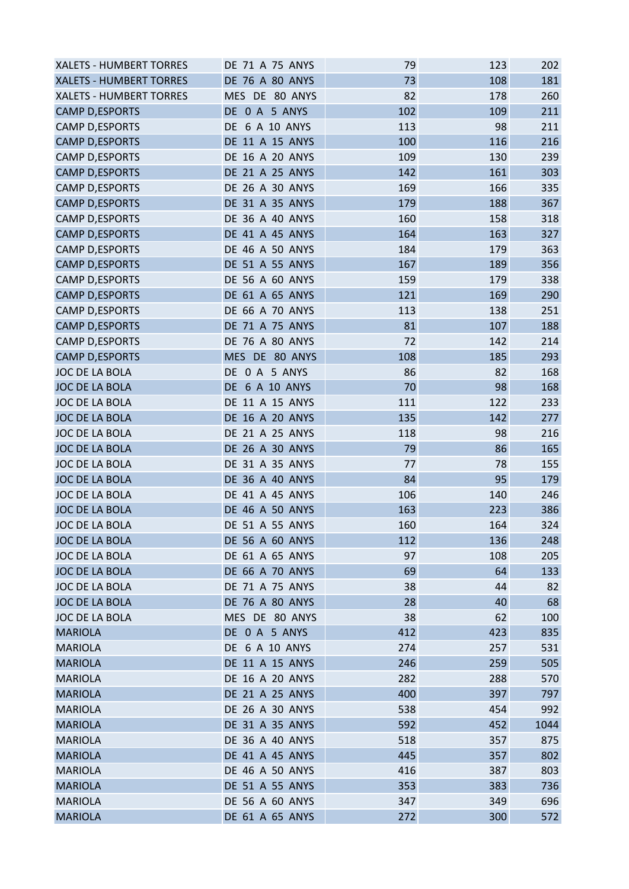| <b>XALETS - HUMBERT TORRES</b> | <b>DE 71 A 75 ANYS</b> | 79  | 123 | 202  |
|--------------------------------|------------------------|-----|-----|------|
| <b>XALETS - HUMBERT TORRES</b> | DE 76 A 80 ANYS        | 73  | 108 | 181  |
| <b>XALETS - HUMBERT TORRES</b> | MES DE 80 ANYS         | 82  | 178 | 260  |
| <b>CAMP D,ESPORTS</b>          | DE 0 A 5 ANYS          | 102 | 109 | 211  |
| CAMP D, ESPORTS                | DE 6 A 10 ANYS         | 113 | 98  | 211  |
| <b>CAMP D,ESPORTS</b>          | DE 11 A 15 ANYS        | 100 | 116 | 216  |
| CAMP D, ESPORTS                | DE 16 A 20 ANYS        | 109 | 130 | 239  |
| <b>CAMP D,ESPORTS</b>          | DE 21 A 25 ANYS        | 142 | 161 | 303  |
| CAMP D, ESPORTS                | DE 26 A 30 ANYS        | 169 | 166 | 335  |
| <b>CAMP D,ESPORTS</b>          | DE 31 A 35 ANYS        | 179 | 188 | 367  |
| CAMP D, ESPORTS                | DE 36 A 40 ANYS        | 160 | 158 | 318  |
| <b>CAMP D,ESPORTS</b>          | DE 41 A 45 ANYS        | 164 | 163 | 327  |
| CAMP D, ESPORTS                | <b>DE 46 A 50 ANYS</b> | 184 | 179 | 363  |
| <b>CAMP D,ESPORTS</b>          | DE 51 A 55 ANYS        | 167 | 189 | 356  |
| CAMP D, ESPORTS                | DE 56 A 60 ANYS        | 159 | 179 | 338  |
| <b>CAMP D,ESPORTS</b>          | DE 61 A 65 ANYS        | 121 | 169 | 290  |
| CAMP D, ESPORTS                | DE 66 A 70 ANYS        | 113 | 138 | 251  |
| <b>CAMP D,ESPORTS</b>          | DE 71 A 75 ANYS        | 81  | 107 | 188  |
| <b>CAMP D,ESPORTS</b>          | DE 76 A 80 ANYS        | 72  | 142 | 214  |
| <b>CAMP D,ESPORTS</b>          | MES DE 80 ANYS         | 108 | 185 | 293  |
| JOC DE LA BOLA                 | DE 0 A 5 ANYS          | 86  | 82  | 168  |
| JOC DE LA BOLA                 | DE 6 A 10 ANYS         | 70  | 98  | 168  |
| JOC DE LA BOLA                 | DE 11 A 15 ANYS        | 111 | 122 | 233  |
| <b>JOC DE LA BOLA</b>          | DE 16 A 20 ANYS        | 135 | 142 | 277  |
| JOC DE LA BOLA                 | DE 21 A 25 ANYS        | 118 | 98  | 216  |
| JOC DE LA BOLA                 | DE 26 A 30 ANYS        | 79  | 86  | 165  |
| JOC DE LA BOLA                 | DE 31 A 35 ANYS        | 77  | 78  | 155  |
| <b>JOC DE LA BOLA</b>          | DE 36 A 40 ANYS        | 84  | 95  | 179  |
| <b>JOC DE LA BOLA</b>          | DE 41 A 45 ANYS        | 106 | 140 | 246  |
| <b>JOC DE LA BOLA</b>          | <b>DE 46 A 50 ANYS</b> | 163 | 223 | 386  |
| <b>JOC DE LA BOLA</b>          | DE 51 A 55 ANYS        | 160 | 164 | 324  |
| JOC DE LA BOLA                 | <b>DE 56 A 60 ANYS</b> | 112 | 136 | 248  |
| JOC DE LA BOLA                 | DE 61 A 65 ANYS        | 97  | 108 | 205  |
| JOC DE LA BOLA                 | DE 66 A 70 ANYS        | 69  | 64  | 133  |
| JOC DE LA BOLA                 | DE 71 A 75 ANYS        | 38  | 44  | 82   |
| JOC DE LA BOLA                 | <b>DE 76 A 80 ANYS</b> | 28  | 40  | 68   |
| JOC DE LA BOLA                 | MES DE 80 ANYS         | 38  | 62  | 100  |
| <b>MARIOLA</b>                 | DE 0 A 5 ANYS          | 412 | 423 | 835  |
| <b>MARIOLA</b>                 | DE 6 A 10 ANYS         | 274 | 257 | 531  |
| <b>MARIOLA</b>                 | DE 11 A 15 ANYS        | 246 | 259 | 505  |
| <b>MARIOLA</b>                 | DE 16 A 20 ANYS        | 282 | 288 | 570  |
| <b>MARIOLA</b>                 | DE 21 A 25 ANYS        | 400 | 397 | 797  |
| <b>MARIOLA</b>                 | DE 26 A 30 ANYS        | 538 | 454 | 992  |
| <b>MARIOLA</b>                 | DE 31 A 35 ANYS        | 592 | 452 | 1044 |
| <b>MARIOLA</b>                 | DE 36 A 40 ANYS        | 518 | 357 | 875  |
| <b>MARIOLA</b>                 | DE 41 A 45 ANYS        | 445 | 357 | 802  |
| <b>MARIOLA</b>                 | DE 46 A 50 ANYS        | 416 | 387 | 803  |
| <b>MARIOLA</b>                 | DE 51 A 55 ANYS        | 353 | 383 | 736  |
| <b>MARIOLA</b>                 | DE 56 A 60 ANYS        | 347 | 349 | 696  |
| <b>MARIOLA</b>                 | DE 61 A 65 ANYS        | 272 | 300 | 572  |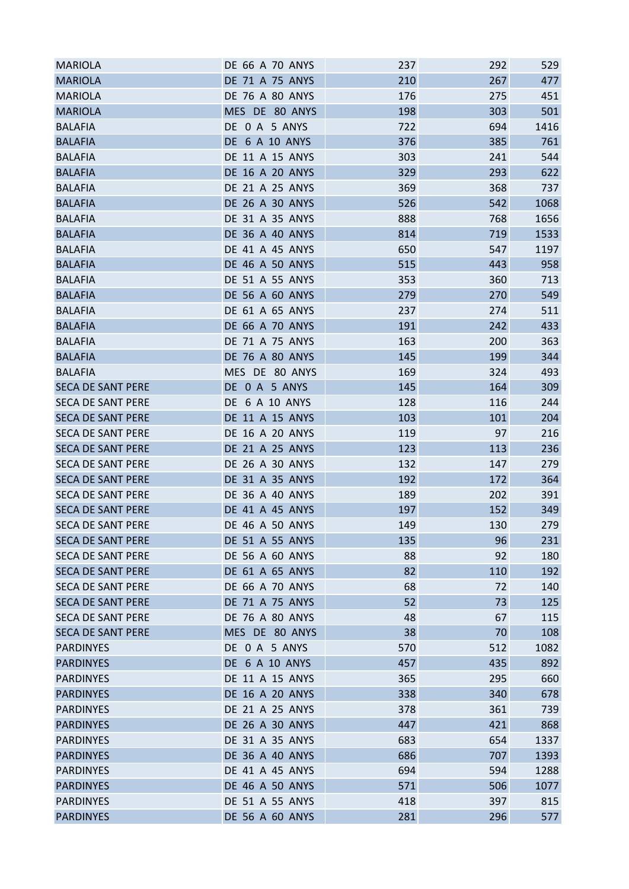| <b>MARIOLA</b>           | DE 66 A 70 ANYS        | 237 | 292 | 529  |
|--------------------------|------------------------|-----|-----|------|
| <b>MARIOLA</b>           | DE 71 A 75 ANYS        | 210 | 267 | 477  |
| <b>MARIOLA</b>           | DE 76 A 80 ANYS        | 176 | 275 | 451  |
| <b>MARIOLA</b>           | MES DE 80 ANYS         | 198 | 303 | 501  |
| <b>BALAFIA</b>           | DE 0 A 5 ANYS          | 722 | 694 | 1416 |
| <b>BALAFIA</b>           | <b>DE 6 A 10 ANYS</b>  | 376 | 385 | 761  |
| <b>BALAFIA</b>           | DE 11 A 15 ANYS        | 303 | 241 | 544  |
| <b>BALAFIA</b>           | <b>DE 16 A 20 ANYS</b> | 329 | 293 | 622  |
| <b>BALAFIA</b>           | DE 21 A 25 ANYS        | 369 | 368 | 737  |
| <b>BALAFIA</b>           | DE 26 A 30 ANYS        | 526 | 542 | 1068 |
| <b>BALAFIA</b>           | DE 31 A 35 ANYS        | 888 | 768 | 1656 |
| <b>BALAFIA</b>           | DE 36 A 40 ANYS        | 814 | 719 | 1533 |
| <b>BALAFIA</b>           | DE 41 A 45 ANYS        | 650 | 547 | 1197 |
| <b>BALAFIA</b>           | DE 46 A 50 ANYS        | 515 | 443 | 958  |
| <b>BALAFIA</b>           | DE 51 A 55 ANYS        | 353 | 360 | 713  |
| <b>BALAFIA</b>           | DE 56 A 60 ANYS        | 279 | 270 | 549  |
| <b>BALAFIA</b>           | DE 61 A 65 ANYS        | 237 | 274 | 511  |
| <b>BALAFIA</b>           | <b>DE 66 A 70 ANYS</b> | 191 | 242 | 433  |
| <b>BALAFIA</b>           | DE 71 A 75 ANYS        | 163 | 200 | 363  |
| <b>BALAFIA</b>           | DE 76 A 80 ANYS        | 145 | 199 | 344  |
| <b>BALAFIA</b>           | MES DE 80 ANYS         | 169 | 324 | 493  |
| <b>SECA DE SANT PERE</b> | DE 0 A 5 ANYS          | 145 | 164 | 309  |
| <b>SECA DE SANT PERE</b> | DE 6 A 10 ANYS         | 128 | 116 | 244  |
| <b>SECA DE SANT PERE</b> | DE 11 A 15 ANYS        | 103 | 101 | 204  |
| <b>SECA DE SANT PERE</b> | <b>DE 16 A 20 ANYS</b> | 119 | 97  | 216  |
| <b>SECA DE SANT PERE</b> | DE 21 A 25 ANYS        | 123 | 113 | 236  |
| SECA DE SANT PERE        | DE 26 A 30 ANYS        | 132 | 147 | 279  |
| <b>SECA DE SANT PERE</b> | DE 31 A 35 ANYS        | 192 | 172 | 364  |
| <b>SECA DE SANT PERE</b> | DE 36 A 40 ANYS        | 189 | 202 | 391  |
| <b>SECA DE SANT PERE</b> | <b>DE 41 A 45 ANYS</b> | 197 | 152 | 349  |
| <b>SECA DE SANT PERE</b> | <b>DE 46 A 50 ANYS</b> | 149 | 130 | 279  |
| <b>SECA DE SANT PERE</b> | DE 51 A 55 ANYS        | 135 | 96  | 231  |
| <b>SECA DE SANT PERE</b> | DE 56 A 60 ANYS        | 88  | 92  | 180  |
| <b>SECA DE SANT PERE</b> | DE 61 A 65 ANYS        | 82  | 110 | 192  |
| <b>SECA DE SANT PERE</b> | <b>DE 66 A 70 ANYS</b> | 68  | 72  | 140  |
| <b>SECA DE SANT PERE</b> | DE 71 A 75 ANYS        | 52  | 73  | 125  |
| <b>SECA DE SANT PERE</b> | <b>DE 76 A 80 ANYS</b> | 48  | 67  | 115  |
| <b>SECA DE SANT PERE</b> | MES DE 80 ANYS         | 38  | 70  | 108  |
| <b>PARDINYES</b>         | DE 0 A 5 ANYS          | 570 | 512 | 1082 |
| <b>PARDINYES</b>         | <b>DE 6 A 10 ANYS</b>  | 457 | 435 | 892  |
| <b>PARDINYES</b>         | DE 11 A 15 ANYS        | 365 | 295 | 660  |
| <b>PARDINYES</b>         | DE 16 A 20 ANYS        | 338 | 340 | 678  |
| <b>PARDINYES</b>         | DE 21 A 25 ANYS        | 378 | 361 | 739  |
| <b>PARDINYES</b>         | <b>DE 26 A 30 ANYS</b> | 447 | 421 | 868  |
| <b>PARDINYES</b>         | DE 31 A 35 ANYS        | 683 | 654 | 1337 |
| <b>PARDINYES</b>         | DE 36 A 40 ANYS        | 686 | 707 | 1393 |
|                          | DE 41 A 45 ANYS        | 694 | 594 | 1288 |
| <b>PARDINYES</b>         |                        |     |     |      |
| <b>PARDINYES</b>         | DE 46 A 50 ANYS        | 571 | 506 | 1077 |
| <b>PARDINYES</b>         | DE 51 A 55 ANYS        | 418 | 397 | 815  |
| <b>PARDINYES</b>         | DE 56 A 60 ANYS        | 281 | 296 | 577  |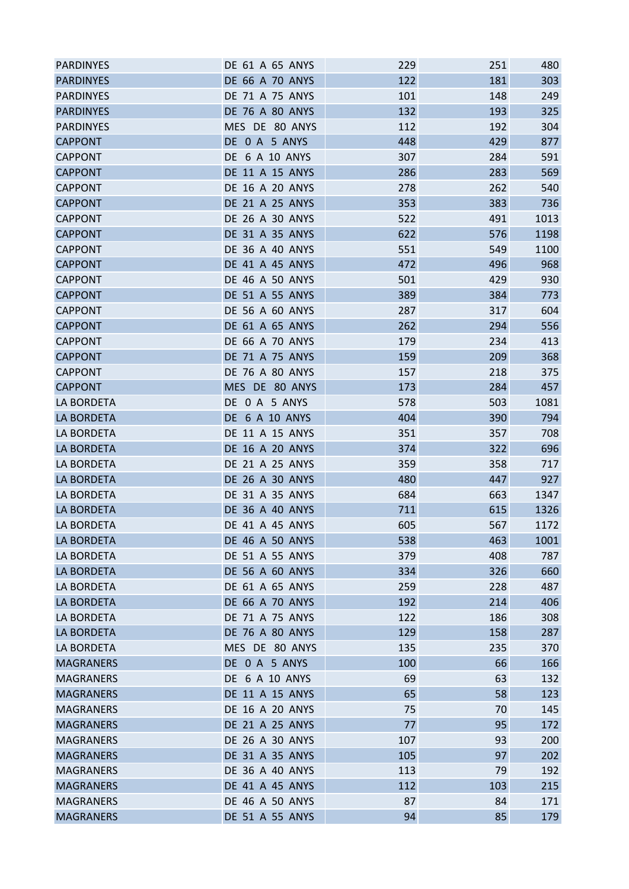| <b>PARDINYES</b>                     | DE 61 A 65 ANYS                    | 229        | 251      | 480        |
|--------------------------------------|------------------------------------|------------|----------|------------|
| <b>PARDINYES</b>                     | <b>DE 66 A 70 ANYS</b>             | 122        | 181      | 303        |
| <b>PARDINYES</b>                     | DE 71 A 75 ANYS                    | 101        | 148      | 249        |
| <b>PARDINYES</b>                     | <b>DE 76 A 80 ANYS</b>             | 132        | 193      | 325        |
| <b>PARDINYES</b>                     | MES DE 80 ANYS                     | 112        | 192      | 304        |
| <b>CAPPONT</b>                       | DE 0 A 5 ANYS                      | 448        | 429      | 877        |
| <b>CAPPONT</b>                       | DE 6 A 10 ANYS                     | 307        | 284      | 591        |
| <b>CAPPONT</b>                       | DE 11 A 15 ANYS                    | 286        | 283      | 569        |
| <b>CAPPONT</b>                       | DE 16 A 20 ANYS                    | 278        | 262      | 540        |
| <b>CAPPONT</b>                       | DE 21 A 25 ANYS                    | 353        | 383      | 736        |
| <b>CAPPONT</b>                       | DE 26 A 30 ANYS                    | 522        | 491      | 1013       |
| <b>CAPPONT</b>                       | DE 31 A 35 ANYS                    | 622        | 576      | 1198       |
| <b>CAPPONT</b>                       | <b>DE 36 A 40 ANYS</b>             | 551        | 549      | 1100       |
| <b>CAPPONT</b>                       | DE 41 A 45 ANYS                    | 472        | 496      | 968        |
| <b>CAPPONT</b>                       | <b>DE 46 A 50 ANYS</b>             | 501        | 429      | 930        |
| <b>CAPPONT</b>                       | DE 51 A 55 ANYS                    | 389        | 384      | 773        |
| <b>CAPPONT</b>                       | DE 56 A 60 ANYS                    | 287        | 317      | 604        |
| <b>CAPPONT</b>                       | DE 61 A 65 ANYS                    | 262        | 294      | 556        |
| <b>CAPPONT</b>                       | DE 66 A 70 ANYS                    | 179        | 234      | 413        |
| <b>CAPPONT</b>                       | DE 71 A 75 ANYS                    | 159        | 209      | 368        |
| <b>CAPPONT</b>                       | DE 76 A 80 ANYS                    | 157        | 218      | 375        |
| <b>CAPPONT</b>                       | MES DE 80 ANYS                     | 173        | 284      | 457        |
| LA BORDETA                           | DE 0 A 5 ANYS                      | 578        | 503      | 1081       |
| <b>LA BORDETA</b>                    | <b>DE 6 A 10 ANYS</b>              | 404        | 390      | 794        |
| LA BORDETA                           | DE 11 A 15 ANYS                    | 351        | 357      | 708        |
| LA BORDETA                           | DE 16 A 20 ANYS                    | 374        | 322      | 696        |
| LA BORDETA                           | DE 21 A 25 ANYS                    | 359        | 358      | 717        |
| <b>LA BORDETA</b>                    | DE 26 A 30 ANYS                    | 480        | 447      | 927        |
| LA BORDETA                           | DE 31 A 35 ANYS                    | 684        | 663      | 1347       |
| <b>LA BORDETA</b>                    | <b>DE 36 A 40 ANYS</b>             | 711        | 615      | 1326       |
| LA BORDETA                           | <b>DE 41 A 45 ANYS</b>             | 605        | 567      | 1172       |
| LA BORDETA                           | <b>DE 46 A 50 ANYS</b>             | 538        | 463      | 1001       |
| <b>LA BORDETA</b>                    | DE 51 A 55 ANYS                    | 379        | 408      | 787        |
| LA BORDETA                           | DE 56 A 60 ANYS                    | 334        | 326      | 660        |
| LA BORDETA                           | DE 61 A 65 ANYS                    | 259        | 228      | 487        |
| <b>LA BORDETA</b>                    | DE 66 A 70 ANYS                    | 192        | 214      | 406        |
| <b>LA BORDETA</b>                    | <b>DE 71 A 75 ANYS</b>             | 122        | 186      | 308        |
| LA BORDETA                           | DE 76 A 80 ANYS                    | 129        | 158      | 287        |
| LA BORDETA                           | MES DE 80 ANYS                     | 135        | 235      | 370        |
| <b>MAGRANERS</b>                     | DE 0 A 5 ANYS                      | 100        | 66       | 166        |
| <b>MAGRANERS</b>                     | DE 6 A 10 ANYS                     | 69         | 63       | 132        |
| <b>MAGRANERS</b>                     | DE 11 A 15 ANYS                    | 65         | 58       | 123        |
| <b>MAGRANERS</b>                     | DE 16 A 20 ANYS                    | 75         | 70       | 145        |
| <b>MAGRANERS</b>                     | DE 21 A 25 ANYS                    | 77         | 95       | 172        |
|                                      |                                    |            |          |            |
| <b>MAGRANERS</b><br><b>MAGRANERS</b> | DE 26 A 30 ANYS<br>DE 31 A 35 ANYS | 107<br>105 | 93<br>97 | 200<br>202 |
|                                      |                                    |            |          |            |
| <b>MAGRANERS</b>                     | DE 36 A 40 ANYS                    | 113        | 79       | 192        |
| <b>MAGRANERS</b>                     | DE 41 A 45 ANYS                    | 112        | 103      | 215        |
| <b>MAGRANERS</b>                     | DE 46 A 50 ANYS                    | 87         | 84       | 171        |
| <b>MAGRANERS</b>                     | DE 51 A 55 ANYS                    | 94         | 85       | 179        |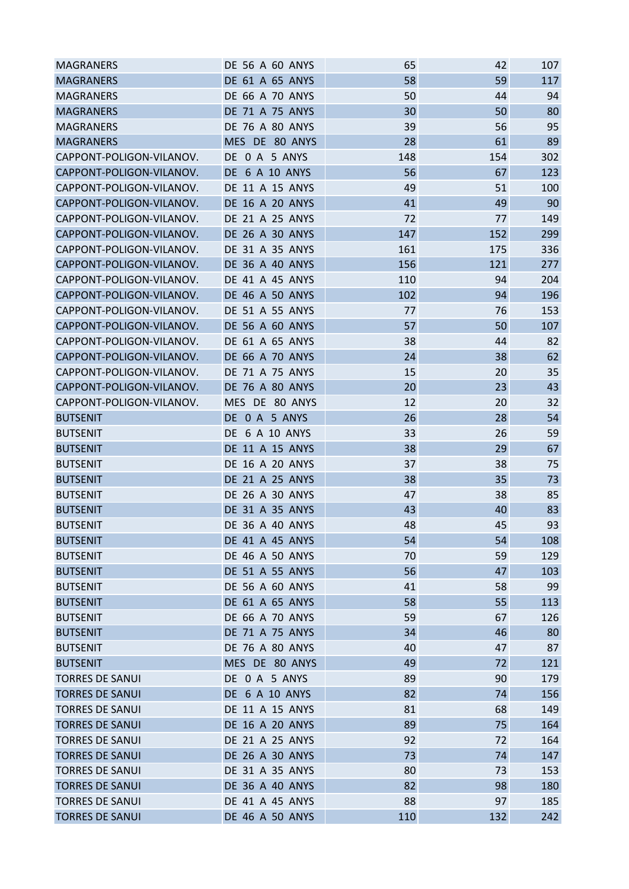| <b>MAGRANERS</b>         | <b>DE 56 A 60 ANYS</b> | 65  | 42  | 107 |
|--------------------------|------------------------|-----|-----|-----|
| <b>MAGRANERS</b>         | DE 61 A 65 ANYS        | 58  | 59  | 117 |
| <b>MAGRANERS</b>         | DE 66 A 70 ANYS        | 50  | 44  | 94  |
| <b>MAGRANERS</b>         | <b>DE 71 A 75 ANYS</b> | 30  | 50  | 80  |
| <b>MAGRANERS</b>         | DE 76 A 80 ANYS        | 39  | 56  | 95  |
| <b>MAGRANERS</b>         | MES DE 80 ANYS         | 28  | 61  | 89  |
| CAPPONT-POLIGON-VILANOV. | DE 0 A 5 ANYS          | 148 | 154 | 302 |
| CAPPONT-POLIGON-VILANOV. | <b>DE 6 A 10 ANYS</b>  | 56  | 67  | 123 |
| CAPPONT-POLIGON-VILANOV. | DE 11 A 15 ANYS        | 49  | 51  | 100 |
| CAPPONT-POLIGON-VILANOV. | <b>DE 16 A 20 ANYS</b> | 41  | 49  | 90  |
| CAPPONT-POLIGON-VILANOV. | <b>DE 21 A 25 ANYS</b> | 72  | 77  | 149 |
| CAPPONT-POLIGON-VILANOV. | DE 26 A 30 ANYS        | 147 | 152 | 299 |
| CAPPONT-POLIGON-VILANOV. | DE 31 A 35 ANYS        | 161 | 175 | 336 |
| CAPPONT-POLIGON-VILANOV. | DE 36 A 40 ANYS        | 156 | 121 | 277 |
| CAPPONT-POLIGON-VILANOV. | <b>DE 41 A 45 ANYS</b> | 110 | 94  | 204 |
| CAPPONT-POLIGON-VILANOV. | <b>DE 46 A 50 ANYS</b> | 102 | 94  | 196 |
| CAPPONT-POLIGON-VILANOV. | DE 51 A 55 ANYS        | 77  | 76  | 153 |
| CAPPONT-POLIGON-VILANOV. | <b>DE 56 A 60 ANYS</b> | 57  | 50  | 107 |
| CAPPONT-POLIGON-VILANOV. | DE 61 A 65 ANYS        | 38  | 44  | 82  |
| CAPPONT-POLIGON-VILANOV. | <b>DE 66 A 70 ANYS</b> | 24  | 38  | 62  |
| CAPPONT-POLIGON-VILANOV. | DE 71 A 75 ANYS        | 15  | 20  | 35  |
| CAPPONT-POLIGON-VILANOV. | <b>DE 76 A 80 ANYS</b> | 20  | 23  | 43  |
| CAPPONT-POLIGON-VILANOV. | MES DE 80 ANYS         | 12  | 20  | 32  |
| <b>BUTSENIT</b>          | DE 0 A 5 ANYS          | 26  | 28  | 54  |
|                          |                        |     |     |     |
| <b>BUTSENIT</b>          | DE 6 A 10 ANYS         | 33  | 26  | 59  |
| <b>BUTSENIT</b>          | DE 11 A 15 ANYS        | 38  | 29  | 67  |
| <b>BUTSENIT</b>          | DE 16 A 20 ANYS        | 37  | 38  | 75  |
| <b>BUTSENIT</b>          | DE 21 A 25 ANYS        | 38  | 35  | 73  |
| <b>BUTSENIT</b>          | <b>DE 26 A 30 ANYS</b> | 47  | 38  | 85  |
| <b>BUTSENIT</b>          | DE 31 A 35 ANYS        | 43  | 40  | 83  |
| <b>BUTSENIT</b>          | <b>DE 36 A 40 ANYS</b> | 48  | 45  | 93  |
| <b>BUTSENIT</b>          | <b>DE 41 A 45 ANYS</b> | 54  | 54  | 108 |
| <b>BUTSENIT</b>          | <b>DE 46 A 50 ANYS</b> | 70  | 59  | 129 |
| <b>BUTSENIT</b>          | DE 51 A 55 ANYS        | 56  | 47  | 103 |
| <b>BUTSENIT</b>          | DE 56 A 60 ANYS        | 41  | 58  | 99  |
| <b>BUTSENIT</b>          | DE 61 A 65 ANYS        | 58  | 55  | 113 |
| <b>BUTSENIT</b>          | <b>DE 66 A 70 ANYS</b> | 59  | 67  | 126 |
| <b>BUTSENIT</b>          | DE 71 A 75 ANYS        | 34  | 46  | 80  |
| <b>BUTSENIT</b>          | DE 76 A 80 ANYS        | 40  | 47  | 87  |
| <b>BUTSENIT</b>          | MES DE 80 ANYS         | 49  | 72  | 121 |
| <b>TORRES DE SANUI</b>   | DE 0 A 5 ANYS          | 89  | 90  | 179 |
| <b>TORRES DE SANUI</b>   | DE 6 A 10 ANYS         | 82  | 74  | 156 |
| <b>TORRES DE SANUI</b>   | DE 11 A 15 ANYS        | 81  | 68  | 149 |
| <b>TORRES DE SANUI</b>   | <b>DE 16 A 20 ANYS</b> | 89  | 75  | 164 |
| <b>TORRES DE SANUI</b>   | DE 21 A 25 ANYS        | 92  | 72  | 164 |
| <b>TORRES DE SANUI</b>   | DE 26 A 30 ANYS        | 73  | 74  | 147 |
| <b>TORRES DE SANUI</b>   | DE 31 A 35 ANYS        | 80  | 73  | 153 |
| <b>TORRES DE SANUI</b>   | <b>DE 36 A 40 ANYS</b> | 82  | 98  | 180 |
| <b>TORRES DE SANUI</b>   | DE 41 A 45 ANYS        | 88  | 97  | 185 |
| <b>TORRES DE SANUI</b>   | <b>DE 46 A 50 ANYS</b> | 110 | 132 | 242 |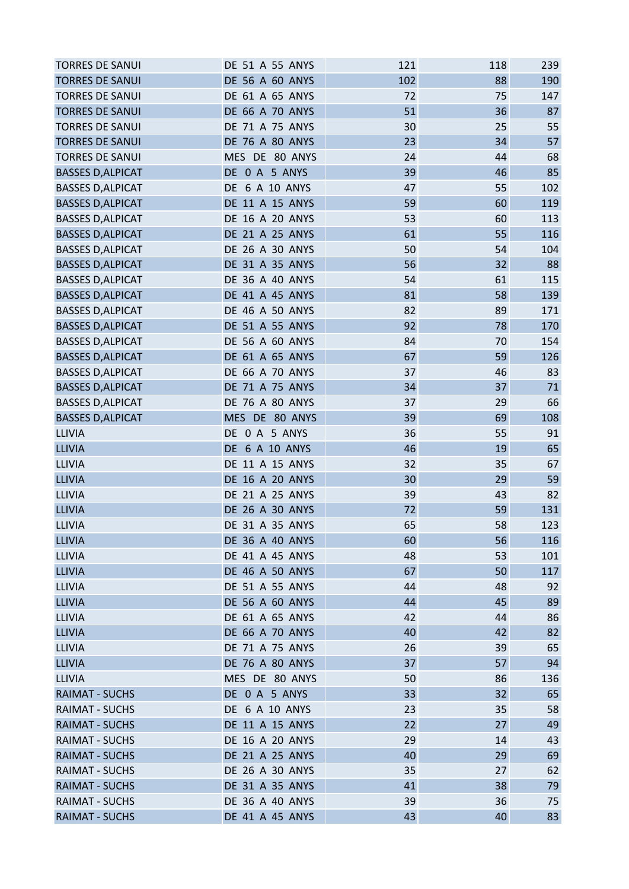| <b>TORRES DE SANUI</b>   | DE 51 A 55 ANYS        | 121 | 118 | 239 |
|--------------------------|------------------------|-----|-----|-----|
| <b>TORRES DE SANUI</b>   | <b>DE 56 A 60 ANYS</b> | 102 | 88  | 190 |
| <b>TORRES DE SANUI</b>   | DE 61 A 65 ANYS        | 72  | 75  | 147 |
| <b>TORRES DE SANUI</b>   | <b>DE 66 A 70 ANYS</b> | 51  | 36  | 87  |
| <b>TORRES DE SANUI</b>   | DE 71 A 75 ANYS        | 30  | 25  | 55  |
| <b>TORRES DE SANUI</b>   | <b>DE 76 A 80 ANYS</b> | 23  | 34  | 57  |
| <b>TORRES DE SANUI</b>   | MES DE 80 ANYS         | 24  | 44  | 68  |
| <b>BASSES D, ALPICAT</b> | DE 0 A 5 ANYS          | 39  | 46  | 85  |
| <b>BASSES D, ALPICAT</b> | DE 6 A 10 ANYS         | 47  | 55  | 102 |
| <b>BASSES D, ALPICAT</b> | <b>DE 11 A 15 ANYS</b> | 59  | 60  | 119 |
| <b>BASSES D, ALPICAT</b> | <b>DE 16 A 20 ANYS</b> | 53  | 60  | 113 |
| <b>BASSES D, ALPICAT</b> | DE 21 A 25 ANYS        | 61  | 55  | 116 |
| <b>BASSES D, ALPICAT</b> | DE 26 A 30 ANYS        | 50  | 54  | 104 |
| <b>BASSES D, ALPICAT</b> | DE 31 A 35 ANYS        | 56  | 32  | 88  |
| <b>BASSES D, ALPICAT</b> | DE 36 A 40 ANYS        | 54  | 61  | 115 |
| <b>BASSES D, ALPICAT</b> | DE 41 A 45 ANYS        | 81  | 58  | 139 |
| <b>BASSES D, ALPICAT</b> | DE 46 A 50 ANYS        | 82  | 89  | 171 |
| <b>BASSES D, ALPICAT</b> | DE 51 A 55 ANYS        | 92  | 78  | 170 |
| <b>BASSES D, ALPICAT</b> | DE 56 A 60 ANYS        | 84  | 70  | 154 |
| <b>BASSES D, ALPICAT</b> | DE 61 A 65 ANYS        | 67  | 59  | 126 |
| <b>BASSES D, ALPICAT</b> | <b>DE 66 A 70 ANYS</b> | 37  | 46  | 83  |
| <b>BASSES D, ALPICAT</b> | DE 71 A 75 ANYS        | 34  | 37  | 71  |
| <b>BASSES D, ALPICAT</b> | <b>DE 76 A 80 ANYS</b> | 37  | 29  | 66  |
| <b>BASSES D, ALPICAT</b> | MES DE 80 ANYS         | 39  | 69  | 108 |
| <b>LLIVIA</b>            | DE 0 A 5 ANYS          | 36  | 55  | 91  |
| <b>LLIVIA</b>            | DE 6 A 10 ANYS         | 46  | 19  | 65  |
| LLIVIA                   | DE 11 A 15 ANYS        | 32  | 35  | 67  |
| <b>LLIVIA</b>            | DE 16 A 20 ANYS        | 30  | 29  | 59  |
| LLIVIA                   | DE 21 A 25 ANYS        | 39  | 43  | 82  |
| <b>LLIVIA</b>            | <b>DE 26 A 30 ANYS</b> | 72  | 59  | 131 |
| LLIVIA                   | DE 31 A 35 ANYS        | 65  | 58  | 123 |
| <b>LLIVIA</b>            | <b>DE 36 A 40 ANYS</b> | 60  | 56  | 116 |
| <b>LLIVIA</b>            | DE 41 A 45 ANYS        | 48  | 53  | 101 |
| <b>LLIVIA</b>            | <b>DE 46 A 50 ANYS</b> | 67  | 50  | 117 |
| LLIVIA                   | DE 51 A 55 ANYS        | 44  | 48  | 92  |
| <b>LLIVIA</b>            | <b>DE 56 A 60 ANYS</b> | 44  | 45  | 89  |
| LLIVIA                   | DE 61 A 65 ANYS        | 42  | 44  | 86  |
| <b>LLIVIA</b>            | DE 66 A 70 ANYS        | 40  | 42  | 82  |
| <b>LLIVIA</b>            | DE 71 A 75 ANYS        | 26  | 39  | 65  |
| <b>LLIVIA</b>            | DE 76 A 80 ANYS        | 37  | 57  | 94  |
| <b>LLIVIA</b>            | MES DE 80 ANYS         | 50  | 86  | 136 |
| <b>RAIMAT - SUCHS</b>    | DE 0 A 5 ANYS          | 33  | 32  | 65  |
| <b>RAIMAT - SUCHS</b>    | DE 6 A 10 ANYS         | 23  | 35  | 58  |
| <b>RAIMAT - SUCHS</b>    | DE 11 A 15 ANYS        | 22  | 27  | 49  |
| <b>RAIMAT - SUCHS</b>    | DE 16 A 20 ANYS        | 29  | 14  | 43  |
| <b>RAIMAT - SUCHS</b>    | DE 21 A 25 ANYS        | 40  | 29  | 69  |
| <b>RAIMAT - SUCHS</b>    | DE 26 A 30 ANYS        | 35  | 27  | 62  |
| <b>RAIMAT - SUCHS</b>    | DE 31 A 35 ANYS        | 41  | 38  | 79  |
| <b>RAIMAT - SUCHS</b>    | <b>DE 36 A 40 ANYS</b> | 39  | 36  | 75  |
| <b>RAIMAT - SUCHS</b>    | DE 41 A 45 ANYS        | 43  | 40  | 83  |
|                          |                        |     |     |     |